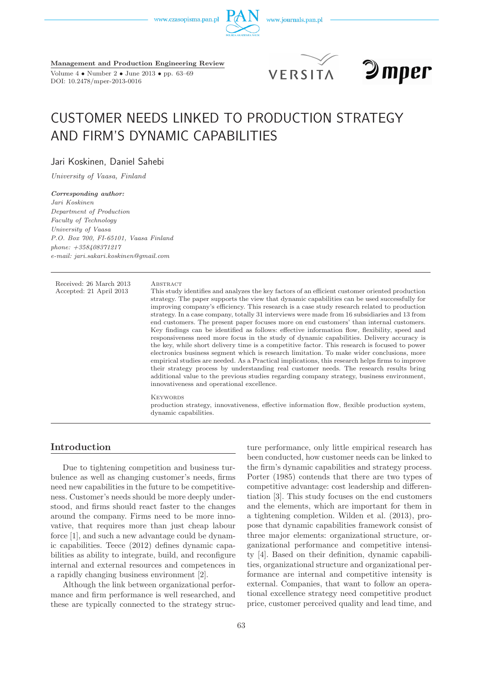www.czasopisma.pan.pl





**Management and Production Engineering Review** Volume 4 • Number 2 • June 2013 • pp. 63–69 DOI: 10.2478/mper-2013-0016





# CUSTOMER NEEDS LINKED TO PRODUCTION STRATEGY AND FIRM'S DYNAMIC CAPABILITIES

Jari Koskinen, Daniel Sahebi

*University of Vaasa, Finland*

*Corresponding author: Jari Koskinen Department of Production Faculty of Technology University of Vaasa P.O. Box 700, FI-65101, Vaasa Finland phone: +358408371217 e-mail: jari.sakari.koskinen@gmail.com*

Received: 26 March 2013 ABSTRACT<br>Accepted: 21 April 2013 This study

This study identifies and analyzes the key factors of an efficient customer oriented production strategy. The paper supports the view that dynamic capabilities can be used successfully for improving company's efficiency. This research is a case study research related to production strategy. In a case company, totally 31 interviews were made from 16 subsidiaries and 13 from end customers. The present paper focuses more on end customers' than internal customers. Key findings can be identified as follows: effective information flow, flexibility, speed and responsiveness need more focus in the study of dynamic capabilities. Delivery accuracy is the key, while short delivery time is a competitive factor. This research is focused to power electronics business segment which is research limitation. To make wider conclusions, more empirical studies are needed. As a Practical implications, this research helps firms to improve their strategy process by understanding real customer needs. The research results bring additional value to the previous studies regarding company strategy, business environment, innovativeness and operational excellence.

**KEYWORDS** production strategy, innovativeness, effective information flow, flexible production system, dynamic capabilities.

## **Introduction**

Due to tightening competition and business turbulence as well as changing customer's needs, firms need new capabilities in the future to be competitiveness. Customer's needs should be more deeply understood, and firms should react faster to the changes around the company. Firms need to be more innovative, that requires more than just cheap labour force [1], and such a new advantage could be dynamic capabilities. Teece (2012) defines dynamic capabilities as ability to integrate, build, and reconfigure internal and external resources and competences in a rapidly changing business environment [2].

Although the link between organizational performance and firm performance is well researched, and these are typically connected to the strategy struc-

ture performance, only little empirical research has been conducted, how customer needs can be linked to the firm's dynamic capabilities and strategy process. Porter (1985) contends that there are two types of competitive advantage: cost leadership and differentiation [3]. This study focuses on the end customers and the elements, which are important for them in a tightening completion. Wilden et al. (2013), propose that dynamic capabilities framework consist of three major elements: organizational structure, organizational performance and competitive intensity [4]. Based on their definition, dynamic capabilities, organizational structure and organizational performance are internal and competitive intensity is external. Companies, that want to follow an operational excellence strategy need competitive product price, customer perceived quality and lead time, and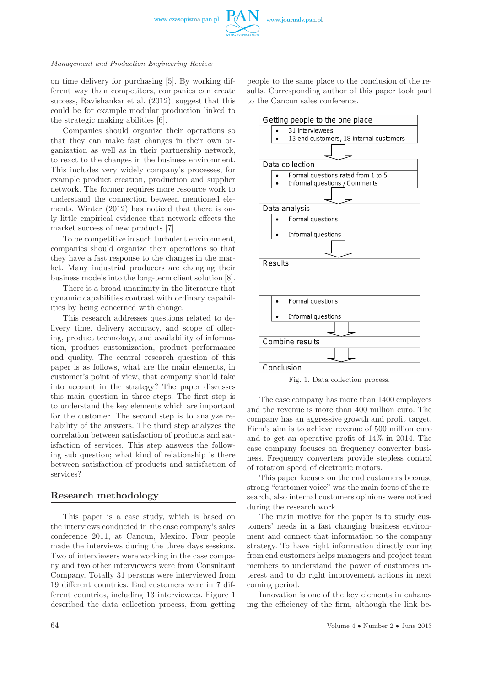www.czasopisma.pan.pl



### *Management and Production Engineering Review*

on time delivery for purchasing [5]. By working different way than competitors, companies can create success, Ravishankar et al. (2012), suggest that this could be for example modular production linked to the strategic making abilities [6].

Companies should organize their operations so that they can make fast changes in their own organization as well as in their partnership network, to react to the changes in the business environment. This includes very widely company's processes, for example product creation, production and supplier network. The former requires more resource work to understand the connection between mentioned elements. Winter (2012) has noticed that there is only little empirical evidence that network effects the market success of new products [7].

To be competitive in such turbulent environment, companies should organize their operations so that they have a fast response to the changes in the market. Many industrial producers are changing their business models into the long-term client solution [8].

There is a broad unanimity in the literature that dynamic capabilities contrast with ordinary capabilities by being concerned with change.

This research addresses questions related to delivery time, delivery accuracy, and scope of offering, product technology, and availability of information, product customization, product performance and quality. The central research question of this paper is as follows, what are the main elements, in customer's point of view, that company should take into account in the strategy? The paper discusses this main question in three steps. The first step is to understand the key elements which are important for the customer. The second step is to analyze reliability of the answers. The third step analyzes the correlation between satisfaction of products and satisfaction of services. This step answers the following sub question; what kind of relationship is there between satisfaction of products and satisfaction of services?

## **Research methodology**

This paper is a case study, which is based on the interviews conducted in the case company's sales conference 2011, at Cancun, Mexico. Four people made the interviews during the three days sessions. Two of interviewers were working in the case company and two other interviewers were from Consultant Company. Totally 31 persons were interviewed from 19 different countries. End customers were in 7 different countries, including 13 interviewees. Figure 1 described the data collection process, from getting

people to the same place to the conclusion of the results. Corresponding author of this paper took part to the Cancun sales conference.



The case company has more than 1400 employees and the revenue is more than 400 million euro. The company has an aggressive growth and profit target. Firm's aim is to achieve revenue of 500 million euro and to get an operative profit of 14% in 2014. The case company focuses on frequency converter business. Frequency converters provide stepless control of rotation speed of electronic motors.

This paper focuses on the end customers because strong "customer voice" was the main focus of the research, also internal customers opinions were noticed during the research work.

The main motive for the paper is to study customers' needs in a fast changing business environment and connect that information to the company strategy. To have right information directly coming from end customers helps managers and project team members to understand the power of customers interest and to do right improvement actions in next coming period.

Innovation is one of the key elements in enhancing the efficiency of the firm, although the link be-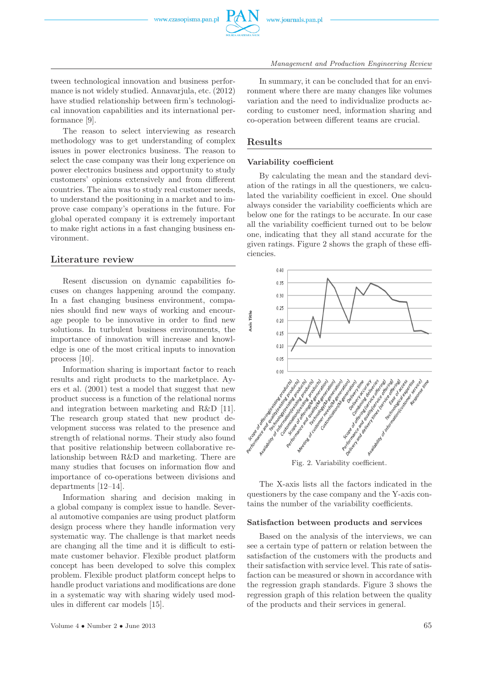

#### *Management and Production Engineering Review*

tween technological innovation and business performance is not widely studied. Annavarjula, etc. (2012) have studied relationship between firm's technological innovation capabilities and its international performance [9].

The reason to select interviewing as research methodology was to get understanding of complex issues in power electronics business. The reason to select the case company was their long experience on power electronics business and opportunity to study customers' opinions extensively and from different countries. The aim was to study real customer needs, to understand the positioning in a market and to improve case company's operations in the future. For global operated company it is extremely important to make right actions in a fast changing business environment.

## **Literature review**

Resent discussion on dynamic capabilities focuses on changes happening around the company. In a fast changing business environment, companies should find new ways of working and encourage people to be innovative in order to find new solutions. In turbulent business environments, the importance of innovation will increase and knowledge is one of the most critical inputs to innovation process [10].

Information sharing is important factor to reach results and right products to the marketplace. Ayers et al. (2001) test a model that suggest that new product success is a function of the relational norms and integration between marketing and R&D [11]. The research group stated that new product development success was related to the presence and strength of relational norms. Their study also found that positive relationship between collaborative relationship between R&D and marketing. There are many studies that focuses on information flow and importance of co-operations between divisions and departments [12–14].

Information sharing and decision making in a global company is complex issue to handle. Several automotive companies are using product platform design process where they handle information very systematic way. The challenge is that market needs are changing all the time and it is difficult to estimate customer behavior. Flexible product platform concept has been developed to solve this complex problem. Flexible product platform concept helps to handle product variations and modifications are done in a systematic way with sharing widely used modules in different car models [15].

In summary, it can be concluded that for an environment where there are many changes like volumes variation and the need to individualize products according to customer need, information sharing and co-operation between different teams are crucial.

## **Results**

## **Variability coefficient**

By calculating the mean and the standard deviation of the ratings in all the questioners, we calculated the variability coefficient in excel. One should always consider the variability coefficients which are below one for the ratings to be accurate. In our case all the variability coefficient turned out to be below one, indicating that they all stand accurate for the given ratings. Figure 2 shows the graph of these efficiencies.



Fig. 2. Variability coefficient.

The X-axis lists all the factors indicated in the questioners by the case company and the Y-axis contains the number of the variability coefficients.

#### **Satisfaction between products and services**

Based on the analysis of the interviews, we can see a certain type of pattern or relation between the satisfaction of the customers with the products and their satisfaction with service level. This rate of satisfaction can be measured or shown in accordance with the regression graph standards. Figure 3 shows the regression graph of this relation between the quality of the products and their services in general.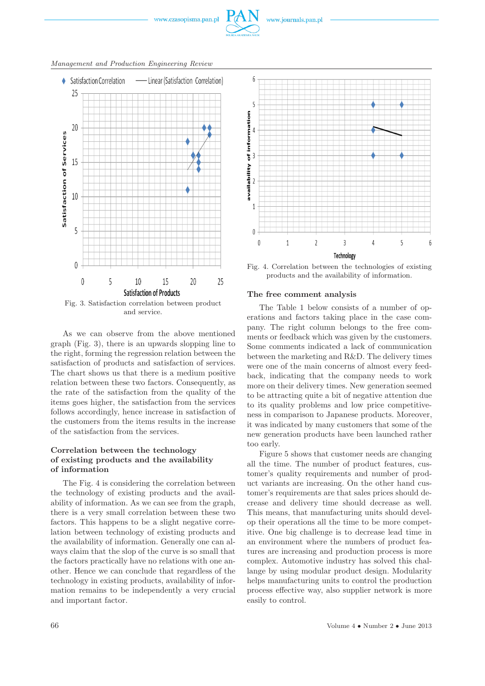

*Management and Production Engineering Review*



Fig. 3. Satisfaction correlation between product and service.

As we can observe from the above mentioned graph (Fig. 3), there is an upwards slopping line to the right, forming the regression relation between the satisfaction of products and satisfaction of services. The chart shows us that there is a medium positive relation between these two factors. Consequently, as the rate of the satisfaction from the quality of the items goes higher, the satisfaction from the services follows accordingly, hence increase in satisfaction of the customers from the items results in the increase of the satisfaction from the services.

## **Correlation between the technology of existing products and the availability of information**

The Fig. 4 is considering the correlation between the technology of existing products and the availability of information. As we can see from the graph, there is a very small correlation between these two factors. This happens to be a slight negative correlation between technology of existing products and the availability of information. Generally one can always claim that the slop of the curve is so small that the factors practically have no relations with one another. Hence we can conclude that regardless of the technology in existing products, availability of information remains to be independently a very crucial and important factor.



Fig. 4. Correlation between the technologies of existing products and the availability of information.

### **The free comment analysis**

The Table 1 below consists of a number of operations and factors taking place in the case company. The right column belongs to the free comments or feedback which was given by the customers. Some comments indicated a lack of communication between the marketing and R&D. The delivery times were one of the main concerns of almost every feedback, indicating that the company needs to work more on their delivery times. New generation seemed to be attracting quite a bit of negative attention due to its quality problems and low price competitiveness in comparison to Japanese products. Moreover, it was indicated by many customers that some of the new generation products have been launched rather too early.

Figure 5 shows that customer needs are changing all the time. The number of product features, customer's quality requirements and number of product variants are increasing. On the other hand customer's requirements are that sales prices should decrease and delivery time should decrease as well. This means, that manufacturing units should develop their operations all the time to be more competitive. One big challenge is to decrease lead time in an environment where the numbers of product features are increasing and production process is more complex. Automotive industry has solved this challange by using modular product design. Modularity helps manufacturing units to control the production process effective way, also supplier network is more easily to control.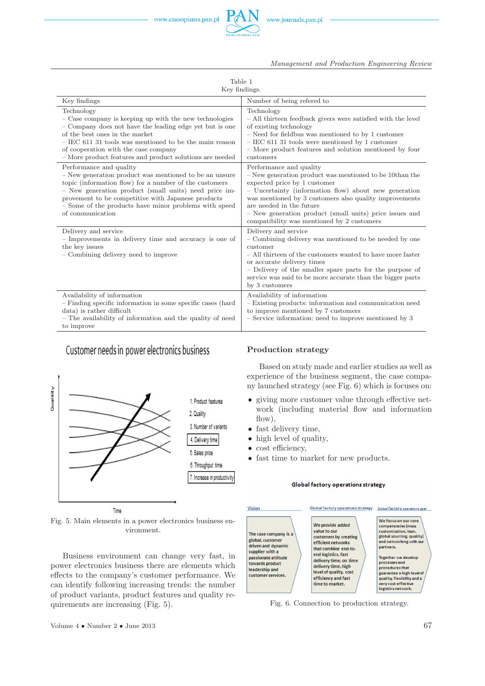

*Management and Production Engineering Review*

| Table 1<br>Key findings.                                                                                                                                                                                                                                                                                                                |                                                                                                                                                                                                                                                                                                                                                                              |
|-----------------------------------------------------------------------------------------------------------------------------------------------------------------------------------------------------------------------------------------------------------------------------------------------------------------------------------------|------------------------------------------------------------------------------------------------------------------------------------------------------------------------------------------------------------------------------------------------------------------------------------------------------------------------------------------------------------------------------|
| Key findings                                                                                                                                                                                                                                                                                                                            | Number of being refered to                                                                                                                                                                                                                                                                                                                                                   |
| Technology<br>- Case company is keeping up with the new technologies<br>- Company does not have the leading edge yet but is one<br>of the best ones in the market<br>$-$ IEC 611 31 tools was mentioned to be the main reason<br>of cooperation with the case company<br>- More product features and product solutions are needed       | Technology<br>- All thirteen feedback givers were satisfied with the level<br>of existing technology<br>$-$ Need for field<br>bus was mentioned to by $1$ customer $\,$<br>$-$ IEC 611 31 tools were mentioned by 1 customer<br>- More product features and solution mentioned by four<br>customers                                                                          |
| Performance and quality<br>- New generation product was mentioned to be an unsure<br>topic (information flow) for a number of the customers<br>- New generation product (small units) need price im-<br>provement to be competitive with Japanese products<br>- Some of the products have minor problems with speed<br>of communication | Performance and quality<br>$-$ New generation product was mentioned to be 10than the<br>expected price by 1 customer<br>- Uncertainty (information flow) about new generation<br>was mentioned by 3 customers also quality improvements<br>are needed in the future<br>- New generation product (small units) price issues and<br>compatibility was mentioned by 2 customers |
| Delivery and service<br>- Improvements in delivery time and accuracy is one of<br>the key issues<br>- Combining delivery need to improve                                                                                                                                                                                                | Delivery and service<br>- Combining delivery was mentioned to be needed by one<br>customer<br>- All thirteen of the customers wanted to have more faster<br>or accurate delivery times<br>- Delivery of the smaller spare parts for the purpose of<br>service was said to be more accurate than the bigger parts<br>by 3 customers                                           |
| Availability of information<br>- Finding specific information in some specific cases (hard<br>data) is rather difficult<br>- The availability of information and the quality of need<br>to improve                                                                                                                                      | Availability of information<br>- Existing products: information and communication need<br>to improve mentioned by 7 customers<br>- Service information: need to improve mentioned by 3                                                                                                                                                                                       |

## Customer needs in power electronics business



Fig. 5. Main elements in a power electronics business environment.

Business environment can change very fast, in power electronics business there are elements which effects to the company's customer performance. We can identify following increasing trends: the number of product variants, product features and quality requirements are increasing (Fig. 5).

## **Production strategy**

Based on study made and earlier studies as well as experience of the business segment, the case company launched strategy (see Fig. 6) which is focuses on:

- giving more customer value through effective network (including material flow and information flow),
- fast delivery time,
- high level of quality,
- cost efficiency,
- fast time to market for new products.

#### Global factory operations strategy



Fig. 6. Connection to production strategy.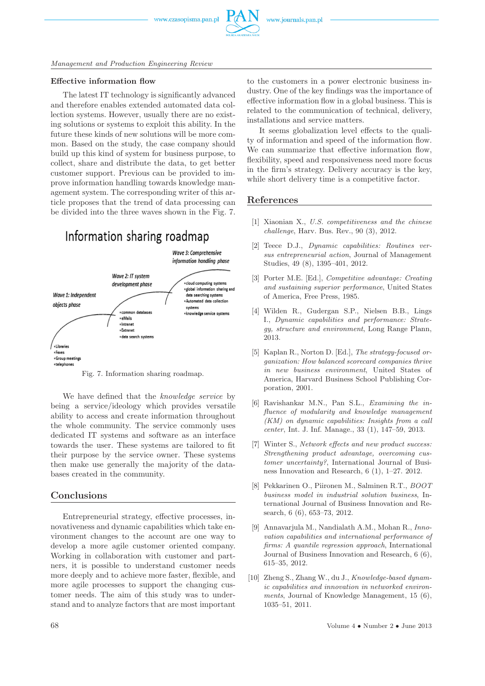

*Management and Production Engineering Review*

#### **Effective information flow**

The latest IT technology is significantly advanced and therefore enables extended automated data collection systems. However, usually there are no existing solutions or systems to exploit this ability. In the future these kinds of new solutions will be more common. Based on the study, the case company should build up this kind of system for business purpose, to collect, share and distribute the data, to get better customer support. Previous can be provided to improve information handling towards knowledge management system. The corresponding writer of this article proposes that the trend of data processing can be divided into the three waves shown in the Fig. 7.

## Information sharing roadmap



Fig. 7. Information sharing roadmap.

We have defined that the *knowledge service* by being a service/ideology which provides versatile ability to access and create information throughout the whole community. The service commonly uses dedicated IT systems and software as an interface towards the user. These systems are tailored to fit their purpose by the service owner. These systems then make use generally the majority of the databases created in the community.

## **Conclusions**

Entrepreneurial strategy, effective processes, innovativeness and dynamic capabilities which take environment changes to the account are one way to develop a more agile customer oriented company. Working in collaboration with customer and partners, it is possible to understand customer needs more deeply and to achieve more faster, flexible, and more agile processes to support the changing customer needs. The aim of this study was to understand and to analyze factors that are most important

to the customers in a power electronic business industry. One of the key findings was the importance of effective information flow in a global business. This is related to the communication of technical, delivery, installations and service matters.

It seems globalization level effects to the quality of information and speed of the information flow. We can summarize that effective information flow, flexibility, speed and responsiveness need more focus in the firm's strategy. Delivery accuracy is the key, while short delivery time is a competitive factor.

## **References**

- [1] Xiaonian X., *U.S. competitiveness and the chinese challenge*, Harv. Bus. Rev., 90 (3), 2012.
- [2] Teece D.J., *Dynamic capabilities: Routines versus entrepreneurial action*, Journal of Management Studies, 49 (8), 1395–401, 2012.
- [3] Porter M.E. [Ed.], *Competitive advantage: Creating and sustaining superior performance*, United States of America, Free Press, 1985.
- [4] Wilden R., Gudergan S.P., Nielsen B.B., Lings I., *Dynamic capabilities and performance: Strategy, structure and environment*, Long Range Plann, 2013.
- [5] Kaplan R., Norton D. [Ed.], *The strategy-focused organization: How balanced scorecard companies thrive in new business environment*, United States of America, Harvard Business School Publishing Corporation, 2001.
- [6] Ravishankar M.N., Pan S.L., *Examining the influence of modularity and knowledge management (KM) on dynamic capabilities: Insights from a call center*, Int. J. Inf. Manage., 33 (1), 147–59, 2013.
- [7] Winter S., *Network effects and new product success: Strengthening product advantage, overcoming customer uncertainty?*, International Journal of Business Innovation and Research, 6 (1), 1–27. 2012.
- [8] Pekkarinen O., Piironen M., Salminen R.T., *BOOT business model in industrial solution business*, International Journal of Business Innovation and Research, 6 (6), 653–73, 2012.
- [9] Annavarjula M., Nandialath A.M., Mohan R., *Innovation capabilities and international performance of firms: A quantile regression approach*, International Journal of Business Innovation and Research, 6 (6), 615–35, 2012.
- [10] Zheng S., Zhang W., du J., *Knowledge-based dynamic capabilities and innovation in networked environments*, Journal of Knowledge Management, 15 (6), 1035–51, 2011.